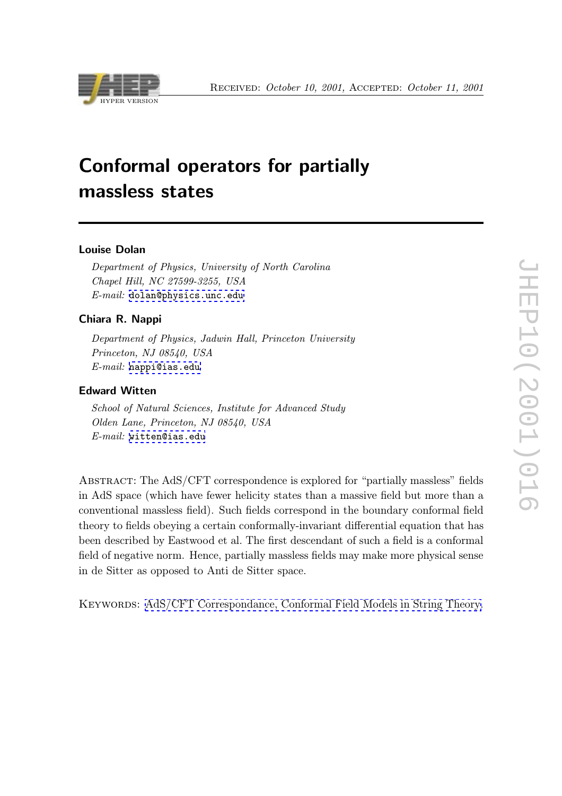

# Conformal operators for partially massless states

## Louise Dolan

Department of Physics, University of North Carolina Chapel Hill, NC 27599-3255, USA E-mail: dolan@physics.unc.edu

# Chiara R. Nappi

Depart[ment of Physics, Jadwin Ha](mailto:dolan@physics.unc.edu)ll, Princeton University Princeton, NJ 08540, USA  $E-mail:$  nappi@ias.edu

# Edward Witten

School o[f Natural Scienc](mailto:nappi@ias.edu)es, Institute for Advanced Study Olden Lane, Princeton, NJ 08540, USA E-mail: witten@ias.edu

Abstract: [The AdS/CFT](mailto:witten@ias.edu) correspondence is explored for "partially massless" fields in AdS space (which have fewer helicity states than a massive field but more than a conventional massless field). Such fields correspond in the boundary conformal field theory to fields obeying a certain conformally-invariant differential equation that has been described by Eastwood et al. The first descendant of such a field is a conformal field of negative norm. Hence, partially massless fields may make more physical sense in de Sitter as opposed to Anti de Sitter space.

KEYWORDS: AdS/CFT Correspondance, Conformal Field Models in String Theory.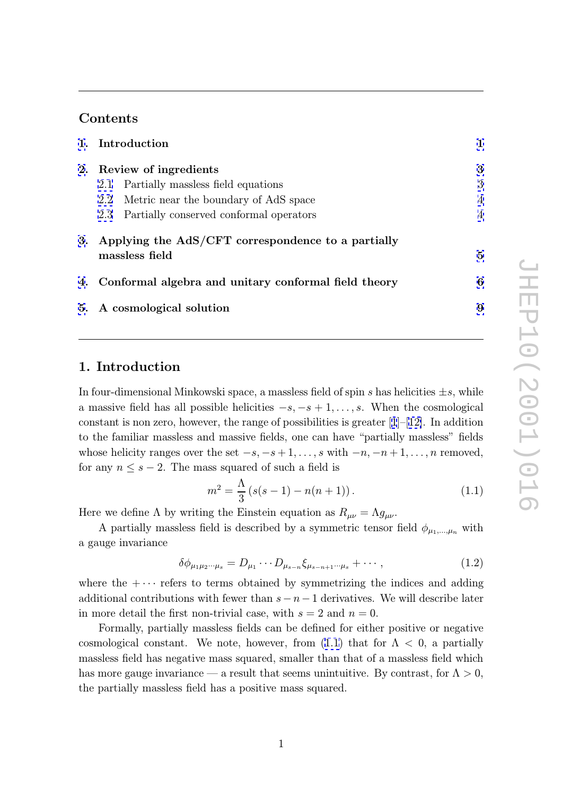# <span id="page-1-0"></span>Contents

|    | 1. Introduction                                                         |                |
|----|-------------------------------------------------------------------------|----------------|
| 2. | Review of ingredients                                                   | 3              |
|    | Partially massless field equations<br>2.1                               | 3              |
|    | Metric near the boundary of AdS space<br>2.2                            | $\overline{4}$ |
|    | 2.3 Partially conserved conformal operators                             | $\overline{4}$ |
|    | 3. Applying the AdS/CFT correspondence to a partially<br>massless field | 5              |
|    | 4. Conformal algebra and unitary conformal field theory                 | 6              |
|    | 5. A cosmological solution                                              | 9              |

# [1](#page-9-0). Introduction

In four-dimensional Minkowski space, a massless field of spin  $s$  has helicities  $\pm s$ , while a massive field has all possible helicities  $-s, -s + 1, \ldots, s$ . When the cosmological constant is non zero, however, the range of possibilities is greater  $[1]-[12]$ . In addition to the familiar massless and massive fields, one can have "partially massless" fields whose helicity ranges over the set  $-s, -s+1, \ldots, s$  with  $-n, -n+1, \ldots, n$  removed, for any  $n \leq s - 2$ . The mass squared of such a field is

$$
m^{2} = \frac{\Lambda}{3} (s(s-1) - n(n+1)).
$$
\n(1.1)

Here we define  $\Lambda$  by writing the Einstein equation as  $R_{\mu\nu} = \Lambda g_{\mu\nu}$ .

A partially massless field is described by a symmetric tensor field  $\phi_{\mu_1,\dots,\mu_n}$  with a gauge invariance

$$
\delta\phi_{\mu_1\mu_2\cdots\mu_s} = D_{\mu_1}\cdots D_{\mu_{s-n}}\xi_{\mu_{s-n+1}\cdots\mu_s} + \cdots , \qquad (1.2)
$$

where the  $+\cdots$  refers to terms obtained by symmetrizing the indices and adding additional contributions with fewer than  $s - n - 1$  derivatives. We will describe later in more detail the first non-trivial case, with  $s = 2$  and  $n = 0$ .

Formally, partially massless fields can be defined for either positive or negative cosmological constant. We note, however, from  $(1.1)$  that for  $\Lambda < 0$ , a partially massless field has negative mass squared, smaller than that of a massless field which has more gauge invariance — a result that seems unintuitive. By contrast, for  $\Lambda > 0$ , the partially massless field has a positive mass squared.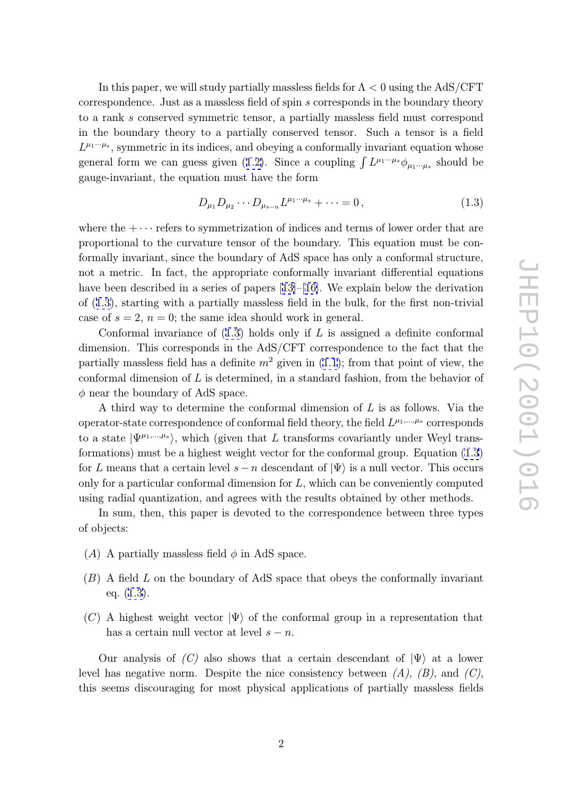<span id="page-2-0"></span>In this paper, we will study partially massless fields for  $\Lambda < 0$  using the AdS/CFT correspondence. Just as a massless field of spin s corresponds in the boundary theory to a rank s conserved symmetric tensor, a partially massless field must correspond in the boundary theory to a partially conserved tensor. Such a tensor is a field  $L^{\mu_1\cdots\mu_s}$ , symmetric in its indices, and obeying a conformally invariant equation whose general form we can guess given (1.2). Since a coupling  $\int L^{\mu_1\cdots\mu_s}\phi_{\mu_1\cdots\mu_s}$  should be gauge-invariant, the equation must have the form

$$
D_{\mu_1} D_{\mu_2} \cdots D_{\mu_{s-n}} L^{\mu_1 \cdots \mu_s} + \cdots = 0, \qquad (1.3)
$$

where the  $+\cdots$  refers to symmetrization of indices and terms of lower order that are proportional to the curvature tensor of the boundary. This equation must be conformally invariant, since the boundary of AdS space has only a conformal structure, not a metric. In fact, the appropriate conformally invariant differential equations have been described in a series of papers [13]–[16]. We explain below the derivation of (1.3), starting with a partially massless field in the bulk, for the first non-trivial case of  $s = 2$ ,  $n = 0$ ; the same idea should work in general.

Conformal invariance of  $(1.3)$  holds [only](#page-11-0) [if](#page-12-0) L is assigned a definite conformal dimension. This corresponds in the AdS/CFT correspondence to the fact that the partially massless field has a definite  $m^2$  given in  $(1.1)$ ; from that point of view, the conformal dimension of  $L$  is determined, in a standard fashion, from the behavior of  $\phi$  near the boundary of AdS space.

A third way to determine the conformal dim[ensi](#page-1-0)on of L is as follows. Via the operator-state correspondence of conformal field theory, the field  $L^{\mu_1,\dots,\mu_s}$  corresponds to a state  $|\Psi^{\mu_1,\dots,\mu_s}\rangle$ , which (given that L transforms covariantly under Weyl transformations) must be a highest weight vector for the conformal group. Equation (1.3) for L means that a certain level  $s - n$  descendant of  $|\Psi\rangle$  is a null vector. This occurs only for a particular conformal dimension for L, which can be conveniently computed using radial quantization, and agrees with the results obtained by other methods.

In sum, then, this paper is devoted to the correspondence between three types of objects:

- (A) A partially massless field  $\phi$  in AdS space.
- ( B) A field L on the boundary of AdS space that obeys the conformally invariant eq. (1.3).
- (C) A highest weight vector  $|\Psi\rangle$  of the conformal group in a representation that has a certain null vector at level  $s - n$ .

Our analysis of  $(C)$  also shows that a certain descendant of  $|\Psi\rangle$  at a lower level has negative norm. Despite the nice consistency between  $(A)$ ,  $(B)$ , and  $(C)$ , this seems discouraging for most physical applications of partially massless fields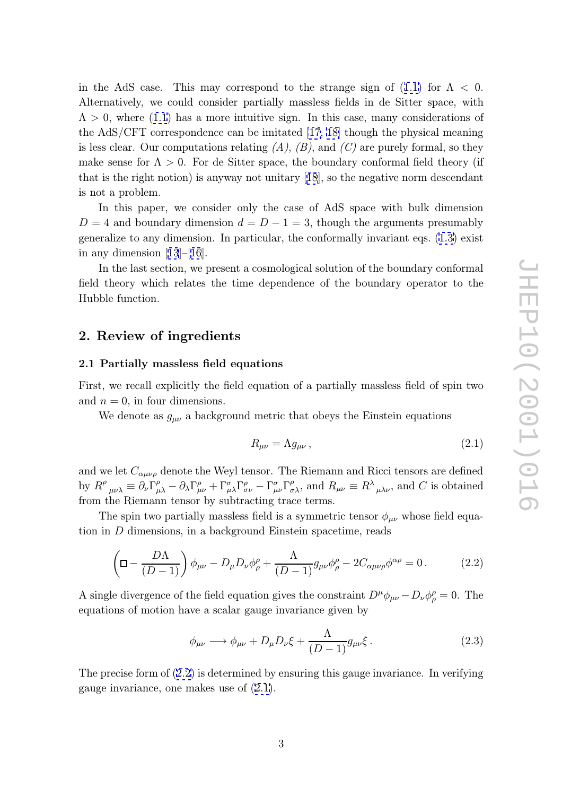<span id="page-3-0"></span>in the AdS case. This may correspond to the strange sign of  $(1.1)$  for  $\Lambda < 0$ . Alternatively, we could consider partially massless fields in de Sitter space, with  $\Lambda > 0$ , where (1.1) has a more intuitive sign. In this case, many considerations of the AdS/CFT correspondence can be imitated [17, 18] though the [phys](#page-1-0)ical meaning is less clear. Our computations relating  $(A)$ ,  $(B)$ , and  $(C)$  are purely formal, so they make sense for  $\Lambda > 0$ . For de Sitter space, the boundary conformal field theory (if that is the right notion) is anyway not unitary [[18\]](#page-12-0), [so](#page-12-0) the negative norm descendant is not a problem.

In this paper, we consider only the case of AdS space with bulk dimension  $D = 4$  and boundary dimension  $d = D - 1 = 3$ , though the arguments presumably generalize to any dimension. In particular, the conformally invariant eqs. (1.3) exist in any dimension  $[13]–[16]$ .

In the last section, we present a cosmological solution of the boundary conformal field theory which relates the time dependence of the boundary operat[or t](#page-2-0)o the Hubble function.

# 2. Review of ingredients

#### 2.1 Partially massless field equations

First, we recall explicitly the field equation of a partially massless field of spin two and  $n = 0$ , in four dimensions.

We denote as  $g_{\mu\nu}$  a background metric that obeys the Einstein equations

$$
R_{\mu\nu} = \Lambda g_{\mu\nu} \,, \tag{2.1}
$$

and we let  $C_{\alpha\mu\nu\rho}$  denote the Weyl tensor. The Riemann and Ricci tensors are defined by  $R^{\rho}$  $_{\mu\nu\lambda} \equiv \dot{\partial}_{\nu}\dot{\Gamma}^{\rho}_{\mu}$  $\partial_{\mu\lambda}^{\rho} - \partial_{\lambda}\Gamma^{\rho}_{\mu\nu} + \Gamma^{\sigma}_{\mu\lambda}\Gamma^{\rho}_{\sigma\nu} - \Gamma^{\sigma}_{\mu\nu}\Gamma^{\rho}_{\sigma\lambda}$ , and  $R_{\mu\nu} \equiv R^{\lambda}{}_{\mu\lambda\nu}$ , and C is obtained from the Riemann tensor by subtracting trace terms.

The spin two partially massless field is a symmetric tensor  $\phi_{\mu\nu}$  whose field equation in D dimensions, in a background Einstein spacetime, reads

$$
\left(\Box - \frac{D\Lambda}{(D-1)}\right)\phi_{\mu\nu} - D_{\mu}D_{\nu}\phi^{\rho}_{\rho} + \frac{\Lambda}{(D-1)}g_{\mu\nu}\phi^{\rho}_{\rho} - 2C_{\alpha\mu\nu\rho}\phi^{\alpha\rho} = 0.
$$
 (2.2)

A single divergence of the field equation gives the constraint  $D^{\mu}\phi_{\mu\nu} - D_{\nu}\phi^{\rho}_{\rho} = 0$ . The equations of motion have a scalar gauge invariance given by

$$
\phi_{\mu\nu} \longrightarrow \phi_{\mu\nu} + D_{\mu}D_{\nu}\xi + \frac{\Lambda}{(D-1)}g_{\mu\nu}\xi.
$$
 (2.3)

The precise form of (2.2) is determined by ensuring this gauge invariance. In verifying gauge invariance, one makes use of (2.1).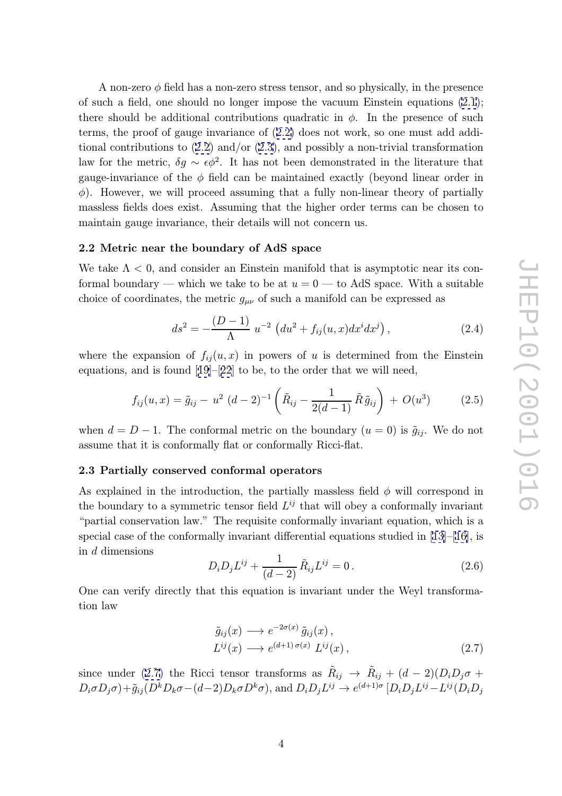<span id="page-4-0"></span>A non-zero  $\phi$  field has a non-zero stress tensor, and so physically, in the presence of such a field, one should no longer impose the vacuum Einstein equations (2.1); there should be additional contributions quadratic in  $\phi$ . In the presence of such terms, the proof of gauge invariance of (2.2) does not work, so one must add additional contributions to (2.2) and/or (2.3), and possibly a non-trivial transform[atio](#page-3-0)n law for the metric,  $\delta g \sim \epsilon \phi^2$ . It has not been demonstrated in the literature that gauge-invariance of the  $\phi$  field can be [main](#page-3-0)tained exactly (beyond linear order in  $\phi$ ). However, we will p[roce](#page-3-0)ed assu[ming](#page-3-0) that a fully non-linear theory of partially massless fields does exist. Assuming that the higher order terms can be chosen to maintain gauge invariance, their details will not concern us.

#### 2.2 Metric near the boundary of AdS space

We take  $\Lambda < 0$ , and consider an Einstein manifold that is asymptotic near its conformal boundary — which we take to be at  $u = 0$  — to AdS space. With a suitable choice of coordinates, the metric  $g_{\mu\nu}$  of such a manifold can be expressed as

$$
ds^{2} = -\frac{(D-1)}{\Lambda} u^{-2} \left( du^{2} + f_{ij}(u, x) dx^{i} dx^{j} \right), \qquad (2.4)
$$

where the expansion of  $f_{ij}(u, x)$  in powers of u is determined from the Einstein equations, and is found [19]–[22] to be, to the order that we will need,

$$
f_{ij}(u,x) = \tilde{g}_{ij} - u^2 (d-2)^{-1} \left( \tilde{R}_{ij} - \frac{1}{2(d-1)} \tilde{R} \tilde{g}_{ij} \right) + O(u^3)
$$
 (2.5)

when  $d = D - 1$ . The conformal metric on the boundary  $(u = 0)$  is  $\tilde{g}_{ij}$ . We do not assume that it is conformally flat or conformally Ricci-flat.

### 2.3 Partially conserved conformal operators

As explained in the introduction, the partially massless field  $\phi$  will correspond in the boundary to a symmetric tensor field  $L^{ij}$  that will obey a conformally invariant "partial conservation law." The requisite conformally invariant equation, which is a special case of the conformally invariant differential equations studied in  $[13]$ –[16], is in d dimensions

$$
D_i D_j L^{ij} + \frac{1}{(d-2)} \tilde{R}_{ij} L^{ij} = 0.
$$
 (2.6)

One can verify directly that this equation is invariant under the Weyl t[ran](#page-11-0)sf[orm](#page-12-0)ation law

$$
\tilde{g}_{ij}(x) \longrightarrow e^{-2\sigma(x)} \tilde{g}_{ij}(x), \nL^{ij}(x) \longrightarrow e^{(d+1)\sigma(x)} L^{ij}(x),
$$
\n(2.7)

since under (2.7) the Ricci tensor transforms as  $\tilde{R}_{ij} \rightarrow \tilde{R}_{ij} + (d-2)(D_i D_j \sigma +$  $D_i \sigma D_j \sigma + \tilde{g}_{ij} (D^k D_k \sigma - (d-2)D_k \sigma D^k \sigma)$ , and  $D_i D_j L^{ij} \rightarrow e^{(d+1)\sigma} [D_i D_j L^{ij} - L^{ij} (D_i D_j \sigma D^k \sigma)]$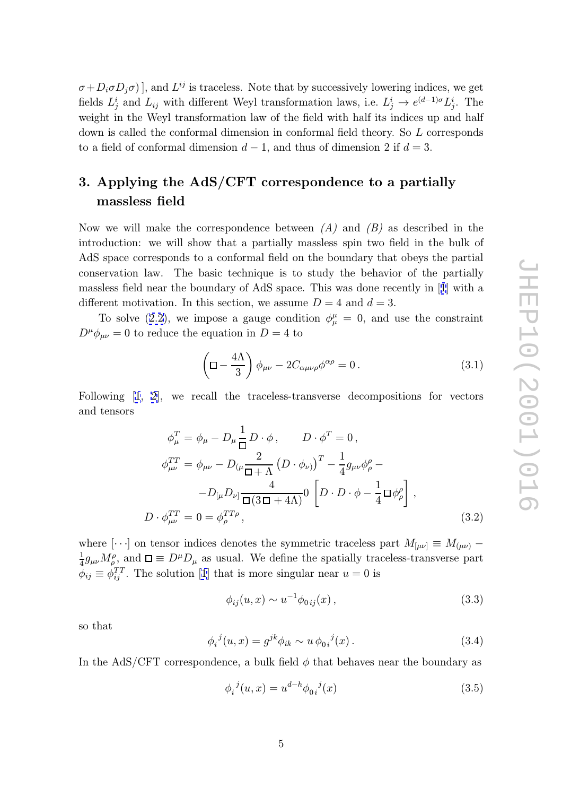<span id="page-5-0"></span> $\sigma + D_i \sigma D_j \sigma$ ], and  $L^{ij}$  is traceless. Note that by successively lowering indices, we get fields  $L_j^i$  and  $L_{ij}$  with different Weyl transformation laws, i.e.  $L_j^i \to e^{(d-1)\sigma} L_j^i$ . The weight in the Weyl transformation law of the field with half its indices up and half down is called the conformal dimension in conformal field theory. So L corresponds to a field of conformal dimension  $d-1$ , and thus of dimension 2 if  $d=3$ .

# 3. Applying the AdS/CFT correspondence to a partially massless field

Now we will make the correspondence between  $(A)$  and  $(B)$  as described in the introduction: we will show that a partially massless spin two field in the bulk of AdS space corresponds to a conformal field on the boundary that obeys the partial conservation law. The basic technique is to study the behavior of the partially massless field near the boundary of AdS space. This was done recently in [1] with a different motivation. In this section, we assume  $D = 4$  and  $d = 3$ .

To solve (2.2), we impose a gauge condition  $\phi^{\mu}_{\mu} = 0$ , and use the constraint  $D^{\mu}\phi_{\mu\nu}=0$  to reduce the equation in  $D=4$  to

$$
\left(\Box - \frac{4\Lambda}{3}\right)\phi_{\mu\nu} - 2C_{\alpha\mu\nu\rho}\phi^{\alpha\rho} = 0.
$$
 (3.1)

Following [1, 2], we recall the traceless-transverse decompositions for vectors and tensors

$$
\phi_{\mu}^{T} = \phi_{\mu} - D_{\mu} \frac{1}{\Box} D \cdot \phi, \qquad D \cdot \phi^{T} = 0,
$$
  

$$
\phi_{\mu\nu}^{TT} = \phi_{\mu\nu} - D_{(\mu} \frac{2}{\Box + \Lambda} \left( D \cdot \phi_{\nu} \right)^{T} - \frac{1}{4} g_{\mu\nu} \phi_{\rho}^{\rho} -
$$

$$
-D_{[\mu} D_{\nu]} \frac{4}{\Box (3\Box + 4\Lambda)} 0 \left[ D \cdot D \cdot \phi - \frac{1}{4} \Box \phi_{\rho}^{\rho} \right],
$$
  

$$
D \cdot \phi_{\mu\nu}^{TT} = 0 = \phi_{\rho}^{TT\rho}, \qquad (3.2)
$$

where  $[\cdot \cdot \cdot]$  on tensor indices denotes the symmetric traceless part  $M_{[\mu\nu]} \equiv M_{(\mu\nu)} \frac{1}{4}g_{\mu\nu}M^{\rho}_{\rho}$ , and  $\square \equiv D^{\mu}D_{\mu}$  as usual. We define the spatially traceless-transverse part  $\phi_{ij} \equiv \dot{\phi}_{ij}^{TT}$ . The solution [1] that is more singular near  $u = 0$  is

$$
\phi_{ij}(u,x) \sim u^{-1} \phi_{0ij}(x) , \qquad (3.3)
$$

so that

$$
\phi_i^{\ j}(u,x) = g^{jk}\phi_{ik} \sim u \phi_{0i}^{\ j}(x). \tag{3.4}
$$

In the AdS/CFT correspondence, a bulk field  $\phi$  that behaves near the boundary as

$$
\phi_i^{\ j}(u,x) = u^{d-h} \phi_{0i}^{\ j}(x) \tag{3.5}
$$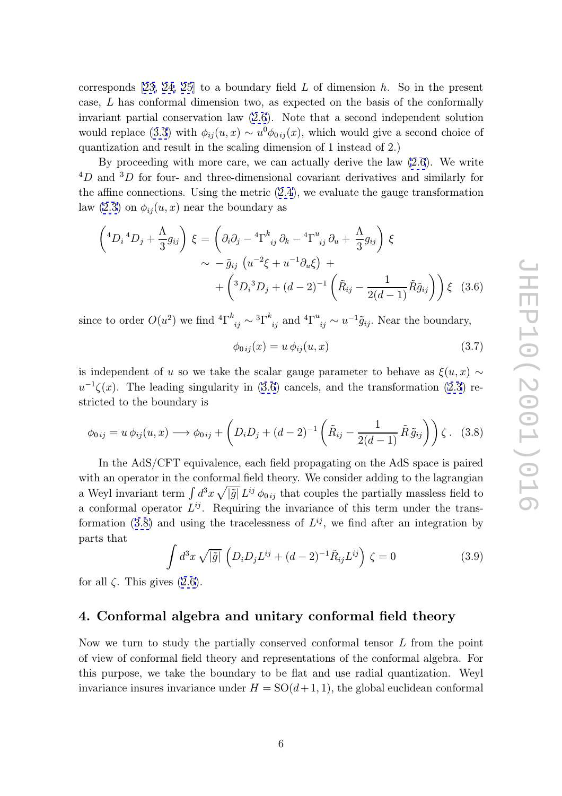corresponds  $[23, 24, 25]$  to a boundary field L of dimension h. So in the present case, L has conformal dimension two, as expected on the basis of the conformally invariant partial conservation law (2.6). Note that a second independent solution would replac[e \(3](#page-12-0).[3\)](#page-12-0) [with](#page-12-0)  $\phi_{ij}(u, x) \sim u^0 \phi_{0ij}(x)$ , which would give a second choice of quantization and result in the scaling dimension of 1 instead of 2.)

By proceeding with more care, [we](#page-4-0) can actually derive the law (2.6). We write  ${}^{4}D$  and  ${}^{3}D$  for [fou](#page-5-0)r- and three-dimensional covariant derivatives and similarly for the affine connections. Using the metric  $(2.4)$ , we evaluate the gauge transformation law  $(2.3)$  on  $\phi_{ij}(u, x)$  near the boundary as

$$
\begin{aligned}\n\left(^{4}D_{i} {}^{4}D_{j} + \frac{\Lambda}{3} g_{ij}\right) \xi &= \left(\partial_{i} \partial_{j} - {}^{4}\Gamma^{k}{}_{ij} \partial_{k} - {}^{4}\Gamma^{u}{}_{ij} \partial_{u} + \frac{\Lambda}{3} g_{ij}\right) \xi \\
&\sim -\tilde{g}_{ij} \left(u^{-2} \xi + u^{-1} \partial_{u} \xi\right) + \\
&\quad + \left({}^{3}D_{i} {}^{3}D_{j} + (d - 2)^{-1} \left(\tilde{R}_{ij} - \frac{1}{2(d - 1)} \tilde{R} \tilde{g}_{ij}\right)\right) \xi \quad (3.6)\n\end{aligned}
$$

since to order  $O(u^2)$  we find  ${}^4\Gamma^k$  $_{ij} \sim {}^{3}\Gamma^{k}_{\ ij}$  and  ${}^{4}\Gamma^{u}$  $_{ij} \sim u^{-1} \tilde{g}_{ij}$ . Near the boundary,

$$
\phi_{0ij}(x) = u \, \phi_{ij}(u, x) \tag{3.7}
$$

is independent of u so we take the scalar gauge parameter to behave as  $\xi(u, x) \sim$  $u^{-1}\zeta(x)$ . The leading singularity in (3.6) cancels, and the transformation (2.3) restricted to the boundary is

$$
\phi_{0ij} = u \phi_{ij}(u, x) \longrightarrow \phi_{0ij} + \left( D_i D_j + (d-2)^{-1} \left( \tilde{R}_{ij} - \frac{1}{2(d-1)} \tilde{R} \tilde{g}_{ij} \right) \right) \zeta. \quad (3.8)
$$

In the AdS/CFT equivalence, each field propagating on the AdS space is paired with an operator in the conformal field theory. We consider adding to the lagrangian a Weyl invariant term  $\int d^3x \sqrt{|\tilde{g}|} L^{ij} \phi_{0ij}$  that couples the partially massless field to a conformal operator  $L^{ij}$ . Requiring the invariance of this term under the transformation (3.8) and using the tracelessness of  $L^{ij}$ , we find after an integration by parts that

$$
\int d^3x \sqrt{|\tilde{g}|} \left( D_i D_j L^{ij} + (d-2)^{-1} \tilde{R}_{ij} L^{ij} \right) \zeta = 0 \tag{3.9}
$$

for all  $\zeta$ . This gives  $(2.6)$ .

# 4. Conformal algebra and unitary conformal field theory

Now we turn to study the partially conserved conformal tensor L from the point of view of conformal field theory and representations of the conformal algebra. For this purpose, we take the boundary to be flat and use radial quantization. Weyl invariance insures invariance under  $H = SO(d+1, 1)$ , the global euclidean conformal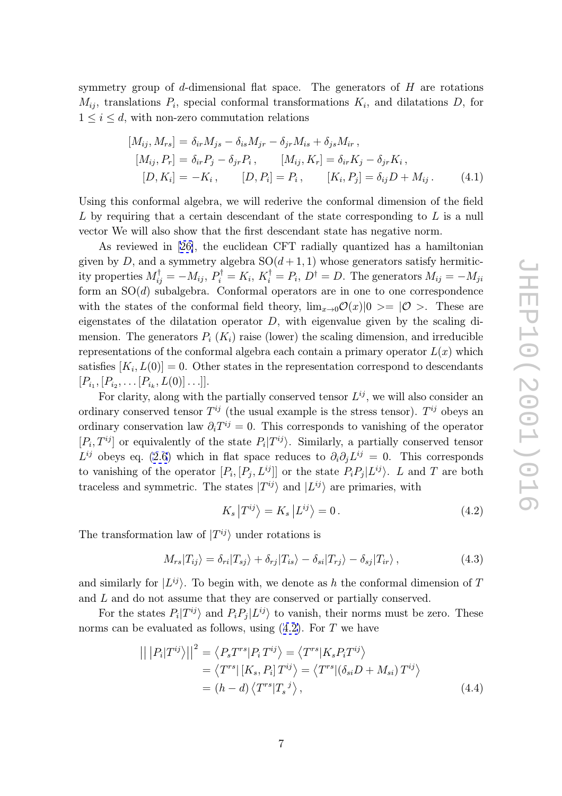<span id="page-7-0"></span>symmetry group of  $d$ -dimensional flat space. The generators of  $H$  are rotations  $M_{ij}$ , translations  $P_i$ , special conformal transformations  $K_i$ , and dilatations D, for  $1 \leq i \leq d$ , with non-zero commutation relations

$$
[M_{ij}, M_{rs}] = \delta_{ir} M_{js} - \delta_{is} M_{jr} - \delta_{jr} M_{is} + \delta_{js} M_{ir},
$$
  
\n
$$
[M_{ij}, P_r] = \delta_{ir} P_j - \delta_{jr} P_i, \qquad [M_{ij}, K_r] = \delta_{ir} K_j - \delta_{jr} K_i,
$$
  
\n
$$
[D, K_i] = -K_i, \qquad [D, P_i] = P_i, \qquad [K_i, P_j] = \delta_{ij} D + M_{ij}.
$$
\n(4.1)

Using this conformal algebra, we will rederive the conformal dimension of the field L by requiring that a certain descendant of the state corresponding to  $L$  is a null vector We will also show that the first descendant state has negative norm.

As reviewed in [26], the euclidean CFT radially quantized has a hamiltonian given by D, and a symmetry algebra  $SO(d+1,1)$  whose generators satisfy hermiticity properties  $M_{ij}^{\dagger} = -M_{ij}, P_i^{\dagger} = K_i, K_i^{\dagger} = P_i, D^{\dagger} = D$ . The generators  $M_{ij} = -M_{ji}$ form an SO( d) subal[geb](#page-12-0)ra. Conformal operators are in one to one correspondence with the states of the conformal field theory,  $\lim_{x\to 0} \mathcal{O}(x)|0\rangle = |\mathcal{O}\rangle$ . These are eigenstates of the dilatation operator D, with eigenvalue given by the scaling dimension. The generators  $P_i(K_i)$  raise (lower) the scaling dimension, and irreducible representations of the conformal algebra each contain a primary operator  $L(x)$  which satisfies  $[K_i, L(0)] = 0$ . Other states in the representation correspond to descendants  $[P_{i_1}, [P_{i_2}, \ldots [P_{i_k}, L(0)] \ldots]].$ 

For clarity, along with the partially conserved tensor  $L^{ij}$ , we will also consider an ordinary conserved tensor  $T^{ij}$  (the usual example is the stress tensor).  $T^{ij}$  obeys an ordinary conservation law  $\partial_i T^{ij} = 0$ . This corresponds to vanishing of the operator  $[P_i, T^{ij}]$  or equivalently of the state  $P_i|T^{ij}\rangle$ . Similarly, a partially conserved tensor  $L^{ij}$  obeys eq. (2.6) which in flat space reduces to  $\partial_i \partial_j L^{ij} = 0$ . This corresponds to vanishing of the operator  $[P_i, [P_j, L^{ij}]]$  or the state  $P_i P_j | L^{ij} \rangle$ . L and T are both traceless and symmetric. The states  $|T^{ij}\rangle$  and  $|L^{ij}\rangle$  are primaries, with

$$
K_s |T^{ij}\rangle = K_s |L^{ij}\rangle = 0.
$$
\n(4.2)

The transformation law of  $|T^{ij}\rangle$  under rotations is

$$
M_{rs}|T_{ij}\rangle = \delta_{ri}|T_{sj}\rangle + \delta_{rj}|T_{is}\rangle - \delta_{si}|T_{rj}\rangle - \delta_{sj}|T_{ir}\rangle, \qquad (4.3)
$$

and similarly for  $|L^{ij}\rangle$ . To begin with, we denote as h the conformal dimension of T and L and do not assume that they are conserved or partially conserved.

For the states  $P_i|T^{ij}\rangle$  and  $P_iP_j|L^{ij}\rangle$  to vanish, their norms must be zero. These norms can be evaluated as follows, using  $(4.2)$ . For T we have

$$
\left| \left| P_i | T^{ij} \rangle \right| \right|^2 = \left\langle P_s T^{rs} | P_i T^{ij} \rangle = \left\langle T^{rs} | K_s P_i T^{ij} \rangle \right. \n= \left\langle T^{rs} | [K_s, P_i] T^{ij} \rangle = \left\langle T^{rs} | (\delta_{si} D + M_{si}) T^{ij} \rangle \right. \n= (h - d) \left\langle T^{rs} | T_s{}^j \rangle \right\rangle,
$$
\n(4.4)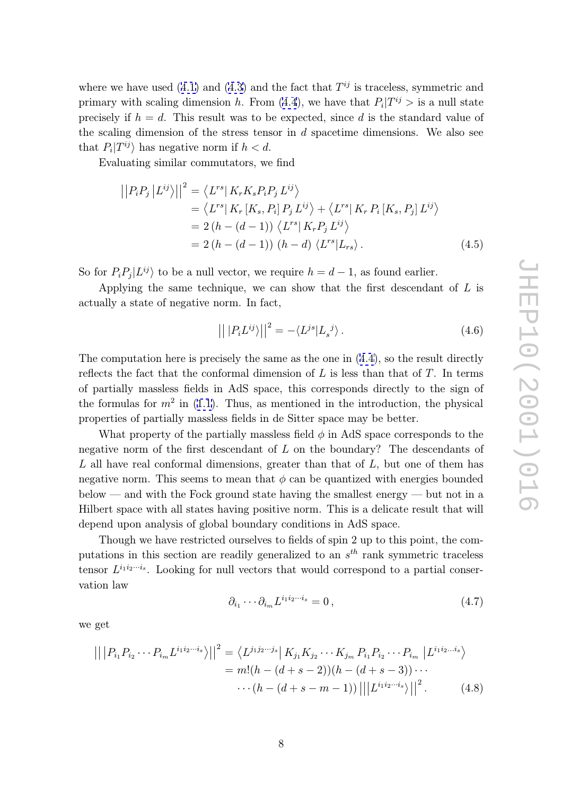<span id="page-8-0"></span>where we have used  $(4.1)$  and  $(4.3)$  and the fact that  $T^{ij}$  is traceless, symmetric and primary with scaling dimension h. From (4.4), we have that  $P_i|T^{ij} >$  is a null state precisely if  $h = d$ . This result was to be expected, since d is the standard value of the scaling dimensio[n of](#page-7-0) the s[tres](#page-7-0)s tensor in  $d$  spacetime dimensions. We also see that  $P_i|T^{ij}\rangle$  has negative norm if  $h < d$ .

Evaluating similar commutators, we find

$$
\begin{aligned} \left| \left| P_i P_j \left| L^{ij} \right\rangle \right| \right|^2 &= \left\langle L^{rs} \left| K_r K_s P_i P_j L^{ij} \right\rangle \\ &= \left\langle L^{rs} \left| K_r \left[ K_s, P_i \right] P_j L^{ij} \right\rangle + \left\langle L^{rs} \left| K_r P_i \left[ K_s, P_j \right] L^{ij} \right\rangle \right. \\ &= 2 \left( h - (d - 1) \right) \left\langle L^{rs} \left| K_r P_j L^{ij} \right\rangle \right. \\ &= 2 \left( h - (d - 1) \right) \left( h - d \right) \left\langle L^{rs} \left| L_{rs} \right\rangle. \end{aligned} \tag{4.5}
$$

So for  $P_i P_j | L^{ij}$  to be a null vector, we require  $h = d - 1$ , as found earlier.

Applying the same technique, we can show that the first descendant of  $L$  is actually a state of negative norm. In fact,

$$
\left| \left| P_i L^{ij} \right> \right| \right|^2 = - \langle L^{js} | L_s^{\ j} \rangle. \tag{4.6}
$$

The computation here is precisely the same as the one in (4.4), so the result directly reflects the fact that the conformal dimension of  $L$  is less than that of  $T$ . In terms of partially massless fields in AdS space, this corresponds directly to the sign of the formulas for  $m^2$  in (1.1). Thus, as mentioned in the [intr](#page-7-0)oduction, the physical properties of partially massless fields in de Sitter space may be better.

What property of the partially massless field  $\phi$  in AdS space corresponds to the negative norm of the fir[st d](#page-1-0)escendant of L on the boundary? The descendants of  $L$  all have real conformal dimensions, greater than that of  $L$ , but one of them has negative norm. This seems to mean that  $\phi$  can be quantized with energies bounded below — and with the Fock ground state having the smallest energy — but not in a Hilbert space with all states having positive norm. This is a delicate result that will depend upon analysis of global boundary conditions in AdS space.

Though we have restricted ourselves to fields of spin 2 up to this point, the computations in this section are readily generalized to an  $s<sup>th</sup>$  rank symmetric traceless tensor  $L^{i_1 i_2 \cdots i_s}$ . Looking for null vectors that would correspond to a partial conservation law

$$
\partial_{i_1} \cdots \partial_{i_m} L^{i_1 i_2 \cdots i_s} = 0 , \qquad (4.7)
$$

we get

$$
\left| \left| P_{i_1} P_{i_2} \cdots P_{i_m} L^{i_1 i_2 \cdots i_s} \right| \right|^2 = \left\langle L^{j_1 j_2 \cdots j_s} \right| K_{j_1} K_{j_2} \cdots K_{j_m} P_{i_1} P_{i_2} \cdots P_{i_m} \left| L^{i_1 i_2 \cdots i_s} \right\rangle
$$
  
=  $m! (h - (d + s - 2))(h - (d + s - 3)) \cdots$   
 $\cdots (h - (d + s - m - 1)) \left| \left| \left| L^{i_1 i_2 \cdots i_s} \right| \right| \right|^2.$  (4.8)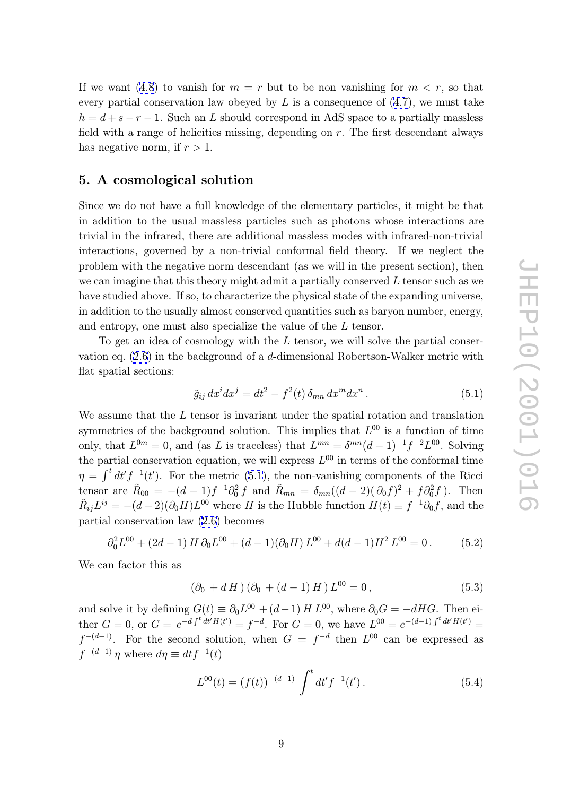<span id="page-9-0"></span>If we want (4.8) to vanish for  $m = r$  but to be non vanishing for  $m < r$ , so that every partial conservation law obeyed by  $L$  is a consequence of  $(4.7)$ , we must take  $h = d + s - r - 1$ . Such an L should correspond in AdS space to a partially massless field with a [rang](#page-8-0)e of helicities missing, depending on  $r$ . The first descendant always has negative norm, if  $r > 1$ .

# 5. A cosmological solution

Since we do not have a full knowledge of the elementary particles, it might be that in addition to the usual massless particles such as photons whose interactions are trivial in the infrared, there are additional massless modes with infrared-non-trivial interactions, governed by a non-trivial conformal field theory. If we neglect the problem with the negative norm descendant (as we will in the present section), then we can imagine that this theory might admit a partially conserved  $L$  tensor such as we have studied above. If so, to characterize the physical state of the expanding universe, in addition to the usually almost conserved quantities such as baryon number, energy, and entropy, one must also specialize the value of the L tensor.

To get an idea of cosmology with the L tensor, we will solve the partial conservation eq.  $(2.6)$  in the background of a d-dimensional Robertson-Walker metric with flat spatial sections:

$$
\tilde{g}_{ij} dx^i dx^j = dt^2 - f^2(t) \delta_{mn} dx^m dx^n . \qquad (5.1)
$$

We assume that the L tensor is invariant under the spatial rotation and translation symmetries of the background solution. This implies that  $L^{00}$  is a function of time only, that  $L^{0m} = 0$ , and (as L is traceless) that  $L^{mn} = \delta^{mn} (d-1)^{-1} f^{-2} L^{00}$ . Solving the partial conservation equation, we will express  $L^{00}$  in terms of the conformal time  $\eta = \int_0^t dt' f^{-1}(t')$ . For the metric (5.1), the non-vanishing components of the Ricci tensor are  $\tilde{R}_{00} = -(d-1)f^{-1}\partial_0^2 f$  and  $\tilde{R}_{mn} = \delta_{mn}((d-2)(\partial_0 f)^2 + f\partial_0^2 f)$ . Then  $\tilde{R}_{ij}L^{ij} = -(d-2)(\partial_0 H)L^{00}$  where H is the Hubble function  $H(t) \equiv f^{-1}\partial_0 f$ , and the partial conservation law (2.6) becomes

$$
\partial_0^2 L^{00} + (2d - 1) H \partial_0 L^{00} + (d - 1)(\partial_0 H) L^{00} + d(d - 1) H^2 L^{00} = 0.
$$
 (5.2)

We can factor this as

$$
(\partial_0 + d H) (\partial_0 + (d - 1) H) L^{00} = 0, \qquad (5.3)
$$

and solve it by defining  $G(t) \equiv \partial_0 L^{00} + (d-1) H L^{00}$ , where  $\partial_0 G = -d H G$ . Then either  $G = 0$ , or  $G = e^{-d \int^t dt' H(t')} = f^{-d}$ . For  $G = 0$ , we have  $L^{00} = e^{-(d-1) \int^t dt' H(t')} =$  $f^{-(d-1)}$ . For the second solution, when  $G = f^{-d}$  then  $L^{00}$  can be expressed as  $f^{-(d-1)}$  η where  $d\eta \equiv dt f^{-1}(t)$ 

$$
L^{00}(t) = (f(t))^{-(d-1)} \int^t dt' f^{-1}(t'). \qquad (5.4)
$$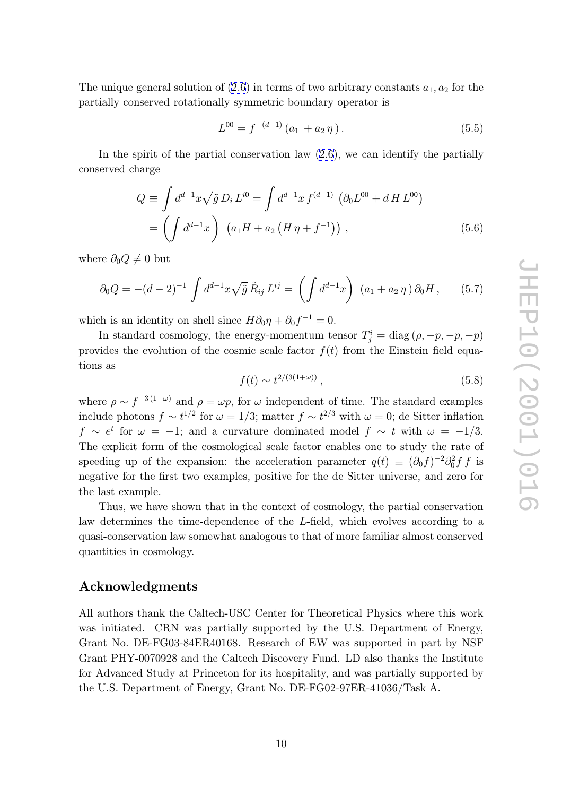The unique general solution of  $(2.6)$  in terms of two arbitrary constants  $a_1, a_2$  for the partially conserved rotationally symmetric boundary operator is

$$
L^{00} = f^{-(d-1)}(a_1 + a_2 \eta). \tag{5.5}
$$

In the spirit of the partial conservation law (2.6), we can identify the partially conserved charge

$$
Q \equiv \int d^{d-1}x \sqrt{\tilde{g}} D_i L^{i0} = \int d^{d-1}x f^{(d-1)} (\partial_0 L^{00} + d H L^{00})
$$
  
= 
$$
\left( \int d^{d-1}x \right) (a_1 H + a_2 (H \eta + f^{-1})) , \qquad (5.6)
$$

where  $\partial_0 Q \neq 0$  but

$$
\partial_0 Q = -(d-2)^{-1} \int d^{d-1}x \sqrt{\tilde{g}} \tilde{R}_{ij} L^{ij} = \left( \int d^{d-1}x \right) (a_1 + a_2 \eta) \partial_0 H, \qquad (5.7)
$$

which is an identity on shell since  $H\partial_0\eta + \partial_0 f^{-1} = 0$ .

In standard cosmology, the energy-momentum tensor  $T_j^i = \text{diag} (p, -p, -p, -p)$ provides the evolution of the cosmic scale factor  $f(t)$  from the Einstein field equations as

$$
f(t) \sim t^{2/(3(1+\omega))},\tag{5.8}
$$

where  $\rho \sim f^{-3(1+\omega)}$  and  $\rho = \omega p$ , for  $\omega$  independent of time. The standard examples include photons  $f \sim t^{1/2}$  for  $\omega = 1/3$ ; matter  $f \sim t^{2/3}$  with  $\omega = 0$ ; de Sitter inflation  $f \sim e^t$  for  $\omega = -1$ ; and a curvature dominated model  $f \sim t$  with  $\omega = -1/3$ . The explicit form of the cosmological scale factor enables one to study the rate of speeding up of the expansion: the acceleration parameter  $q(t) \equiv (\partial_0 f)^{-2} \partial_0^2 f f$  is negative for the first two examples, positive for the de Sitter universe, and zero for the last example.

Thus, we have shown that in the context of cosmology, the partial conservation law determines the time-dependence of the L-field, which evolves according to a quasi-conservation law somewhat analogous to that of more familiar almost conserved quantities in cosmology.

# Acknowledgments

All authors thank the Caltech-USC Center for Theoretical Physics where this work was initiated. CRN was partially supported by the U.S. Department of Energy, Grant No. DE-FG03-84ER40168. Research of EW was supported in part by NSF Grant PHY-0070928 and the Caltech Discovery Fund. LD also thanks the Institute for Advanced Study at Princeton for its hospitality, and was partially supported by the U.S. Department of Energy, Grant No. DE-FG02-97ER-41036/Task A.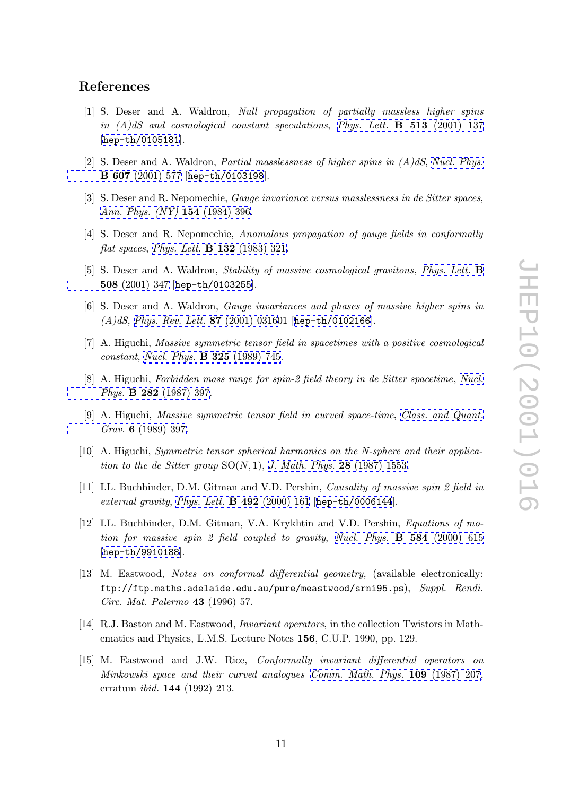# <span id="page-11-0"></span>References

- [1] S. Deser and A. Waldron, Null propagation of partially massless higher spins in  $(A)dS$  and cosmological constant speculations, Phys. Lett. **B** 513 (2001) 137 [hep-th/0105181].
- [2] S. Deser and A. Waldron, *Partial masslessness of hi[gher](http://www-spires.slac.stanford.edu/spires/find/hep/www?j=PHLTA%2CB513%2C137) [spins](http://www-spires.slac.stanford.edu/spires/find/hep/www?j=PHLTA%2CB513%2C137) [in](http://www-spires.slac.stanford.edu/spires/find/hep/www?j=PHLTA%2CB513%2C137)*  $(A)dS$ *, Nucl. Phys.* [B](http://xxx.lanl.gov/abs/hep-th/0105181) [607](http://xxx.lanl.gov/abs/hep-th/0105181) (2001) 577 [hep-th/0103198].
- [3] S. Deser and R. Nepomechie, *Gauge invariance versus masslessness in de Sitter spaces*, [Ann.](http://www-spires.slac.stanford.edu/spires/find/hep/www?j=NUPHA%2CB607%2C577) [Phys.](http://www-spires.slac.stanford.edu/spires/find/hep/www?j=NUPHA%2CB607%2C577) [\(NY\)](http://www-spires.slac.stanford.edu/spires/find/hep/www?j=NUPHA%2CB607%2C577) 154 [\(1984\)](http://xxx.lanl.gov/abs/hep-th/0103198) [396.](http://xxx.lanl.gov/abs/hep-th/0103198)
- [4] S. Deser and R. Nepomechie, Anomalous propagation of gauge fields in conformally flat spaces, Phys. Lett. **B** 132 (1983) 321.
- [5] S. Deser and A. Waldron, *Stability of massive cosmological gravitons*, *Phys. Lett.* **B** 508 (2001) 347 [hep-th/0103255].
- [6] S. Deser and A. Waldron, Gauge invariances and phases of massive h[igher](http://www-spires.slac.stanford.edu/spires/find/hep/www?j=PHLTA%2CB508%2C347) [spins](http://www-spires.slac.stanford.edu/spires/find/hep/www?j=PHLTA%2CB508%2C347) [in](http://www-spires.slac.stanford.edu/spires/find/hep/www?j=PHLTA%2CB508%2C347) (A)dS, [Phys.](http://www-spires.slac.stanford.edu/spires/find/hep/www?j=PHLTA%2CB508%2C347) [Re](http://www-spires.slac.stanford.edu/spires/find/hep/www?j=PHLTA%2CB508%2C347)[v.](http://xxx.lanl.gov/abs/hep-th/0103255) [Lett.](http://xxx.lanl.gov/abs/hep-th/0103255) 87 (2001) 031601 [hep-th/0102166].
- [7] A. Higuchi, Massive symmetric tensor field in spacetimes with a positive cosmological constant, Nucl. Phys. **B 325** (1989) 745.
- [8] A. Higuchi, [Forbidden](http://www-spires.slac.stanford.edu/spires/find/hep/www?j=PRLTA%2C87%2C0316) [mass](http://www-spires.slac.stanford.edu/spires/find/hep/www?j=PRLTA%2C87%2C0316) [range](http://www-spires.slac.stanford.edu/spires/find/hep/www?j=PRLTA%2C87%2C0316) [for](http://www-spires.slac.stanford.edu/spires/find/hep/www?j=PRLTA%2C87%2C0316) [sp](http://www-spires.slac.stanford.edu/spires/find/hep/www?j=PRLTA%2C87%2C0316)in-[2](http://xxx.lanl.gov/abs/hep-th/0102166) [field](http://xxx.lanl.gov/abs/hep-th/0102166) [theory](http://xxx.lanl.gov/abs/hep-th/0102166) [in](http://xxx.lanl.gov/abs/hep-th/0102166) [d](http://xxx.lanl.gov/abs/hep-th/0102166)e Sitter spacetime, Nucl. Phys. B 282 (1987) 397.
- [9] A. Higuchi, Massive symmetric tensor field in curved space-time, Class. and [Quant.](http://www-spires.slac.stanford.edu/spires/find/hep/www?j=NUPHA%2CB282%2C397) Grav. [6](http://www-spires.slac.stanford.edu/spires/find/hep/www?j=NUPHA%2CB282%2C397) (1989) 397.
- [10] A. Higuchi, Symmetric tensor spherical harmonics on the N-sphere and their applica[tion](http://www-spires.slac.stanford.edu/spires/find/hep/www?j=CQGRD%2C6%2C397) [to](http://www-spires.slac.stanford.edu/spires/find/hep/www?j=CQGRD%2C6%2C397) [the](http://www-spires.slac.stanford.edu/spires/find/hep/www?j=CQGRD%2C6%2C397) [de](http://www-spires.slac.stanford.edu/spires/find/hep/www?j=CQGRD%2C6%2C397) [Sitter](http://www-spires.slac.stanford.edu/spires/find/hep/www?j=CQGRD%2C6%2C397) group  $SO(N,1)$ , J. Math. Phys. 28 (1987) 15[53.](http://www-spires.slac.stanford.edu/spires/find/hep/www?j=CQGRD%2C6%2C397)
- [11] I.L. Buchbinder, D.M. Gitman and V.D. Pershin, Causality of massive spin 2 field in external gravity, Phys. Lett. **B 492** (2000) 161 [hep-th/0006144].
- [12] I.L. Buchbinder, D.M. Gitman, V.A[.](http://www-spires.slac.stanford.edu/spires/find/hep/www?j=JMAPA%2C28%2C1553) [Krykhtin](http://www-spires.slac.stanford.edu/spires/find/hep/www?j=JMAPA%2C28%2C1553) [and](http://www-spires.slac.stanford.edu/spires/find/hep/www?j=JMAPA%2C28%2C1553) [V.D.](http://www-spires.slac.stanford.edu/spires/find/hep/www?j=JMAPA%2C28%2C1553) [Pershin,](http://www-spires.slac.stanford.edu/spires/find/hep/www?j=JMAPA%2C28%2C1553) Equations of motion for massive spin 2 field coupled to gravity, Nucl. Phys.  $\bf{B}$  584 (2000) 615 [hep-th/9910188[\].](http://www-spires.slac.stanford.edu/spires/find/hep/www?j=PHLTA%2CB492%2C161)
- [13] M. Eastwood, Notes on conformal differential geometry, (available electronically: ftp://ftp.maths.adelaide.edu.au/pure/meastw[ood/srni95.ps](http://www-spires.slac.stanford.edu/spires/find/hep/www?j=NUPHA%2CB584%2C615)), Suppl. Rendi. [Circ. Mat. Palerm](http://xxx.lanl.gov/abs/hep-th/9910188)o 43 (1996) 57.
- [14] R.J. Baston and M. Eastwood, Invariant operators, in the collection Twistors in Mathematics and Physics, L.M.S. Lecture Notes 156, C.U.P. 1990, pp. 129.
- [15] M. Eastwood and J.W. Rice, Conformally invariant differential operators on Minkowski space and their curved analogues Comm. Math. Phys. 109 (1987) 207, erratum ibid. 144 (1992) 213.